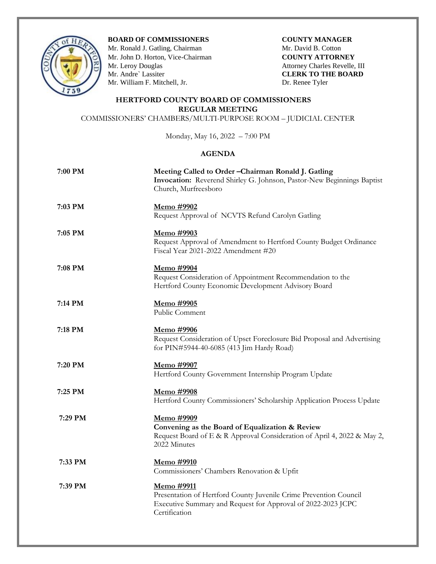

**BOARD OF COMMISSIONERS COUNTY MANAGER** 

Mr. Ronald J. Gatling, ChairmanMr. David B. Cotton Mr. John D. Horton, Vice-Chairman **COUNTY ATTORNEY** Mr. Leroy Douglas Attorney Charles Revelle, III<br>
Mr. Andre` Lassiter CLERK TO THE BOARD Mr. William F. Mitchell, Jr. Dr. Renee Tyler

**CLERK TO THE BOARD** 

## **HERTFORD COUNTY BOARD OF COMMISSIONERS REGULAR MEETING**

COMMISSIONERS' CHAMBERS/MULTI-PURPOSE ROOM – JUDICIAL CENTER

Monday, May 16, 2022 – 7:00 PM

## **AGENDA**

| 7:00 PM | Meeting Called to Order - Chairman Ronald J. Gatling<br>Invocation: Reverend Shirley G. Johnson, Pastor-New Beginnings Baptist<br>Church, Murfreesboro           |
|---------|------------------------------------------------------------------------------------------------------------------------------------------------------------------|
| 7:03 PM | Memo #9902<br>Request Approval of NCVTS Refund Carolyn Gatling                                                                                                   |
| 7:05 PM | <u>Memo #9903</u><br>Request Approval of Amendment to Hertford County Budget Ordinance<br>Fiscal Year 2021-2022 Amendment #20                                    |
| 7:08 PM | <u>Memo #9904</u><br>Request Consideration of Appointment Recommendation to the<br>Hertford County Economic Development Advisory Board                           |
| 7:14 PM | <u>Memo #9905</u><br>Public Comment                                                                                                                              |
| 7:18 PM | Memo #9906<br>Request Consideration of Upset Foreclosure Bid Proposal and Advertising<br>for PIN#5944-40-6085 (413 Jim Hardy Road)                               |
| 7:20 PM | Memo #9907<br>Hertford County Government Internship Program Update                                                                                               |
| 7:25 PM | Memo #9908<br>Hertford County Commissioners' Scholarship Application Process Update                                                                              |
| 7:29 PM | Memo #9909<br>Convening as the Board of Equalization & Review<br>Request Board of E & R Approval Consideration of April 4, 2022 & May 2,<br>2022 Minutes         |
| 7:33 PM | Memo #9910<br>Commissioners' Chambers Renovation & Upfit                                                                                                         |
| 7:39 PM | Memo #9911<br>Presentation of Hertford County Juvenile Crime Prevention Council<br>Executive Summary and Request for Approval of 2022-2023 JCPC<br>Certification |